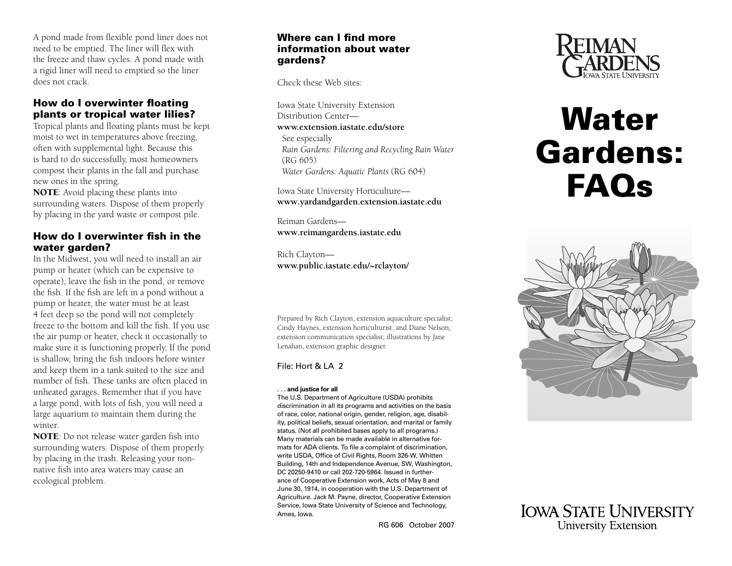A pond made from flexible pond liner does not need to be emptied. The liner will flex with the freeze and thaw cycles. A pond made with a rigid liner will need to emptied so the liner does not crack.

#### **How do I overwinter floating plants or tropical water lilies?**

Tropical plants and floating plants must be kept moist to wet in temperatures above freezing, often with supplemental light. Because this is hard to do successfully, most homeowners compost their plants in the fall and purchase new ones in the spring.

NOTE: Avoid placing these plants into surrounding waters. Dispose of them properly by placing in the yard waste or compost pile.

### **How do I overwinter fish in the water garden?**

In the Midwest, you will need to install an air pump or heater (which can be expensive to operate), leave the fish in the pond, or remove the fish. If the fish are left in a pond without a pump or heater, the water must be at least 4 feet deep so the pond will not completely freeze to the bottom and kill the fish. If you use the air pump or heater, check it occasionally to make sure it is functioning properly. If the pond is shallow, bring the fish indoors before winter and keep them in a tank suited to the size and number of fish. These tanks are often placed in unheated garages. Remember that if you have a large pond, with lots of fish, you will need a large aquarium to maintain them during the winter.

NOTE: Do not release water garden fish into surrounding waters. Dispose of them properly by placing in the trash. Releasing your nonnative fish into area waters may cause an ecological problem.

#### **Where can I find more information about water gardens?**

Check these Web sites:

[Iowa State University Extension](http://www.extension.iastate.edu/store)  Distribution Center**www.extension.iastate.edu/store** See especially *Rain Gardens: Filtering and Recycling Rain Water* (RG 605) *Water Gardens: Aquatic Plants* (RG 604)

[Iowa State University Horticulture](http://www.yardandgarden.extension.iastate.edu) **www.yardandgarden.extension.iastate.edu**

Reiman Gardens**[www.reimangardens.iastate.edu](http://www.reimangardens.iastate.edu)**

Rich Clayton **www.pu[blic.iastate.edu/~rclayton/](http://www.public.iastate.edu/~rclayton/)**

Prepared by Rich Clayton, extension aquaculture specialist; Cindy Haynes, extension horticulturist; and Diane Nelson, extension communication specialist; illustrations by Jane Lenahan, extension graphic designer.

#### File: Hort & LA 2

#### **. . . and justice for all**

The U.S. Department of Agriculture (USDA) prohibits discrimination in all its programs and activities on the basis of race, color, national origin, gender, religion, age, disability, political beliefs, sexual orientation, and marital or family status. (Not all prohibited bases apply to all programs.) Many materials can be made available in alternative formats for ADA clients. To file a complaint of discrimination, write USDA, Office of Civil Rights, Room 326-W, Whitten Building, 14th and Independence Avenue, SW, Washington, DC 20250-9410 or call 202-720-5964. Issued in furtherance of Cooperative Extension work, Acts of May 8 and June 30, 1914, in cooperation with the U.S. Department of Agriculture. Jack M. Payne, director, Cooperative Extension Service, Iowa State University of Science and Technology, Ames, Iowa.

RG 606 October 2007



# **Water Gardens: FAQs**



**IOWA STATE UNIVERSITY University Extension**